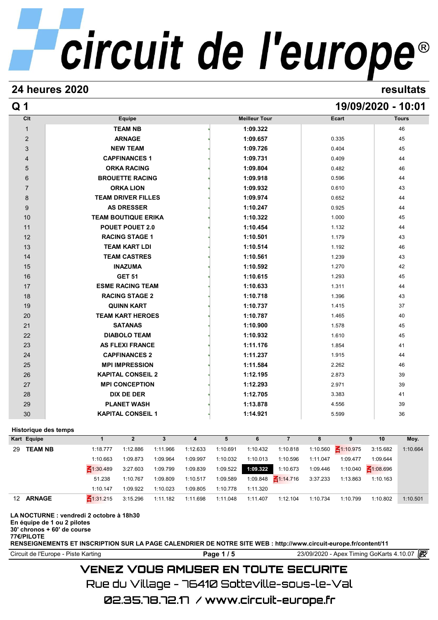# circuit de l'europe®

## **24 heures 2020 resultats**

## **Q 1 19/09/2020 - 10:01**

| Clt            | Equipe                     | <b>Meilleur Tour</b> | Ecart | <b>Tours</b> |
|----------------|----------------------------|----------------------|-------|--------------|
| $\mathbf{1}$   | <b>TEAM NB</b>             | 1:09.322             |       | 46           |
| $\overline{2}$ | <b>ARNAGE</b>              | 1:09.657             | 0.335 | 45           |
| 3              | <b>NEW TEAM</b>            | 1:09.726             | 0.404 | 45           |
| 4              | <b>CAPFINANCES 1</b>       | 1:09.731             | 0.409 | 44           |
| 5              | <b>ORKA RACING</b>         | 1:09.804             | 0.482 | 46           |
| 6              | <b>BROUETTE RACING</b>     | 1:09.918             | 0.596 | 44           |
| $\overline{7}$ | <b>ORKA LION</b>           | 1:09.932             | 0.610 | 43           |
| 8              | <b>TEAM DRIVER FILLES</b>  | 1:09.974             | 0.652 | 44           |
| 9              | <b>AS DRESSER</b>          | 1:10.247             | 0.925 | 44           |
| 10             | <b>TEAM BOUTIQUE ERIKA</b> | 1:10.322             | 1.000 | 45           |
| 11             | <b>POUET POUET 2.0</b>     | 1:10.454             | 1.132 | 44           |
| 12             | <b>RACING STAGE 1</b>      | 1:10.501             | 1.179 | 43           |
| 13             | <b>TEAM KART LDI</b>       | 1:10.514             | 1.192 | 46           |
| 14             | <b>TEAM CASTRES</b>        | 1:10.561             | 1.239 | 43           |
| 15             | <b>INAZUMA</b>             | 1:10.592             | 1.270 | 42           |
| 16             | <b>GET 51</b>              | 1:10.615             | 1.293 | 45           |
| 17             | <b>ESME RACING TEAM</b>    | 1:10.633             | 1.311 | 44           |
| 18             | <b>RACING STAGE 2</b>      | 1:10.718             | 1.396 | 43           |
| 19             | <b>QUINN KART</b>          | 1:10.737             | 1.415 | 37           |
| 20             | <b>TEAM KART HEROES</b>    | 1:10.787             | 1.465 | 40           |
| 21             | <b>SATANAS</b>             | 1:10.900             | 1.578 | 45           |
| 22             | <b>DIABOLO TEAM</b>        | 1:10.932             | 1.610 | 45           |
| 23             | <b>AS FLEXI FRANCE</b>     | 1:11.176             | 1.854 | 41           |
| 24             | <b>CAPFINANCES 2</b>       | 1:11.237             | 1.915 | 44           |
| 25             | <b>MPI IMPRESSION</b>      | 1:11.584             | 2.262 | 46           |
| 26             | <b>KAPITAL CONSEIL 2</b>   | 1:12.195             | 2.873 | 39           |
| 27             | <b>MPI CONCEPTION</b>      | 1:12.293             | 2.971 | 39           |
| 28             | <b>DIX DE DER</b>          | 1:12.705             | 3.383 | 41           |
| 29             | <b>PLANET WASH</b>         | 1:13.878             | 4.556 | 39           |
| 30             | <b>KAPITAL CONSEIL 1</b>   | 1:14.921             | 5.599 | 36           |

#### **Historique des temps**

| Historique des temps |                 |          |          |          |          |          |                          |          |                          |                 |          |
|----------------------|-----------------|----------|----------|----------|----------|----------|--------------------------|----------|--------------------------|-----------------|----------|
| Kart Equipe          |                 |          |          |          |          | 6        |                          |          |                          | 10              | Moy.     |
| 29 TEAM NB           | 1:18.777        | 1:12.886 | 1:11.966 | 1:12.633 | 1:10.691 | 1:10.432 | 1:10.818                 |          | 1:10.560 $\leq 1:10.975$ | 3:15.682        | 1:10.664 |
|                      | 1:10.663        | 1:09.873 | 1:09.964 | 1:09.997 | 1:10.032 | 1:10.013 | 1:10.596                 | 1:11.047 | 1:09.477                 | 1:09.644        |          |
|                      | $\leq 1:30.489$ | 3:27.603 | 1:09.799 | 1:09.839 | 1:09.522 | 1:09.322 | 1:10.673                 | 1:09.446 | 1:10.040                 | $\leq 1:08.696$ |          |
|                      | 51.238          | 1:10.767 | 1:09.809 | 1:10.517 | 1:09.589 |          | 1:09.848 $\leq$ 1:14.716 | 3:37.233 | 1:13.863                 | 1:10.163        |          |
|                      | 1:10.147        | 1:09.922 | 1:10.023 | 1:09.805 | 1:10.778 | 1:11.320 |                          |          |                          |                 |          |
| <b>ARNAGE</b><br>12  | $\leq 1:31.215$ | 3:15.296 | 1:11.182 | 1:11.698 | 1:11.048 | 1:11.407 | 1:12.104                 | 1:10.734 | 1:10.799                 | 1:10.802        | 1:10.501 |

#### **LA NOCTURNE : vendredi 2 octobre à 18h30**

**En équipe de 1 ou 2 pilotes 30' chronos + 60' de course**

**77€/PILOTE**

**RENSEIGNEMENTS ET INSCRIPTION SUR LA PAGE CALENDRIER DE NOTRE SITE WEB : http://www.circuit-europe.fr/content/11**

Circuit de l'Europe - Piste Karting **Page 1 / 5** 23/09/2020 - Apex Timing GoKarts 4.10.07

## **VENEZ VOUS AMUSER EN TOUTE SECURITE**

Rue du Village – 76410 Sotteville-sous-le-Val

02.35.78.72.17 /www.circuit-europe.fr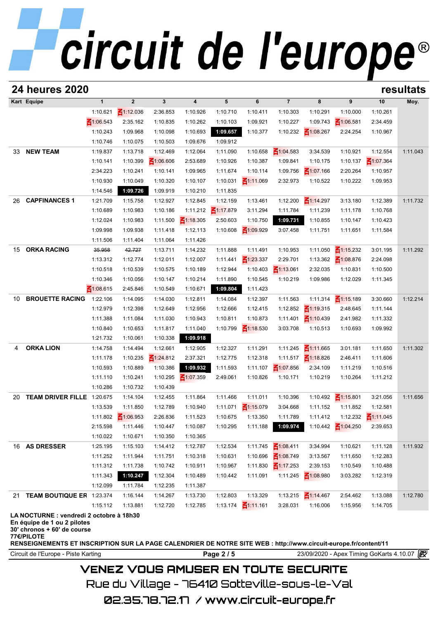|    | <b>24 heures 2020</b>     |                 |                         |                 |                 |                 |                 |                 |                 |                   |                 | resultats |
|----|---------------------------|-----------------|-------------------------|-----------------|-----------------|-----------------|-----------------|-----------------|-----------------|-------------------|-----------------|-----------|
|    | Kart Equipe               | $\mathbf{1}$    | $\overline{\mathbf{2}}$ | $\mathbf{3}$    | 4               | ${\bf 5}$       | 6               | $\overline{7}$  | 8               | 9                 | 10              | Moy.      |
|    |                           | 1:10.621        | ₹1:12.036               | 2:36.853        | 1:10.926        | 1:10.710        | 1:10.411        | 1:10.303        | 1:10.291        | 1:10.000          | 1:10.261        |           |
|    |                           | $\leq 1:06.543$ | 2:35.162                | 1:10.835        | 1:10.262        | 1:10.103        | 1:09.921        | 1:10.227        | 1:09.743        | $\leq 1:06.581$   | 2:34.459        |           |
|    |                           | 1:10.243        | 1:09.968                | 1:10.098        | 1:10.693        | 1:09.657        | 1:10.377        | 1:10.232        | $\leq 1:08.267$ | 2:24.254          | 1:10.967        |           |
|    |                           | 1:10.746        | 1:10.075                | 1:10.503        | 1:09.676        | 1:09.912        |                 |                 |                 |                   |                 |           |
| 33 | <b>NEW TEAM</b>           | 1:19.837        | 1:13.718                | 1:12.469        | 1:12.064        | 1:11.090        | 1:10.658        | $\leq 1:04.583$ | 3:34.539        | 1:10.921          | 1:12.554        | 1:11.043  |
|    |                           | 1:10.141        | 1:10.399                | $\leq 1:06.606$ | 2:53.689        | 1:10.926        | 1:10.387        | 1:09.841        | 1:10.175        | 1:10.137          | $\leq 1:07.364$ |           |
|    |                           | 2:34.223        | 1:10.241                | 1:10.141        | 1:09.965        | 1:11.674        | 1:10.114        | 1:09.756        | $\leq 1:07.166$ | 2:20.264          | 1:10.957        |           |
|    |                           | 1:10.930        | 1:10.049                | 1:10.320        | 1:10.107        | 1:10.031        | $\leq 1:11.069$ | 2:32.973        | 1:10.522        | 1:10.222          | 1:09.953        |           |
|    |                           | 1:14.546        | 1:09.726                | 1:09.919        | 1:10.210        | 1:11.835        |                 |                 |                 |                   |                 |           |
| 26 | <b>CAPFINANCES 1</b>      | 1:21.709        | 1:15.758                | 1:12.927        | 1:12.845        | 1:12.159        | 1:13.461        | 1:12.200        | $\leq 1:14.297$ | 3:13.180          | 1:12.389        | 1:11.732  |
|    |                           | 1:10.689        | 1:10.983                | 1:10.186        | 1:11.212        | $\leq 1:17.879$ | 3:11.294        | 1:11.784        | 1:11.239        | 1:11.178          | 1:10.768        |           |
|    |                           | 1:12.024        | 1:10.983                | 1:11.500        | $\leq 1:18.305$ | 2:50.603        | 1:10.750        | 1:09.731        | 1:10.855        | 1:10.147          | 1:10.423        |           |
|    |                           | 1:09.998        | 1:09.938                | 1:11.418        | 1:12.113        | 1:10.608        | $\leq 1:09.929$ | 3:07.458        | 1:11.751        | 1:11.651          | 1:11.584        |           |
|    |                           | 1:11.506        | 1:11.404                | 1:11.064        | 1:11.426        |                 |                 |                 |                 |                   |                 |           |
| 15 | <b>ORKA RACING</b>        | 35.958          | 42.727                  | 1:13.711        | 1:14.232        | 1:11.888        | 1:11.491        | 1:10.953        | 1:11.050        | $\leq 1:15.232$   | 3:01.195        | 1:11.292  |
|    |                           | 1:13.312        | 1:12.774                | 1:12.011        | 1:12.007        | 1:11.441        | $\leq 1:23.337$ | 2:29.701        | 1:13.362        | 31:08.876         | 2:24.098        |           |
|    |                           | 1:10.518        | 1:10.539                | 1:10.575        | 1:10.189        | 1:12.944        | 1:10.403        | $\leq 1:13.061$ | 2:32.035        | 1:10.831          | 1:10.500        |           |
|    |                           | 1:10.346        | 1:10.056                | 1:10.147        | 1:10.214        | 1:11.890        | 1:10.545        | 1:10.219        | 1:09.986        | 1:12.029          | 1:11.345        |           |
|    |                           | $\leq 1:08.615$ | 2:45.846                | 1:10.549        | 1:10.671        | 1:09.804        | 1:11.423        |                 |                 |                   |                 |           |
| 10 | <b>BROUETTE RACING</b>    | 1:22.106        | 1:14.095                | 1:14.030        | 1:12.811        | 1:14.084        | 1:12.397        | 1:11.563        | 1:11.314        | $\leq 1:15.189$   | 3:30.660        | 1:12.214  |
|    |                           | 1:12.979        | 1:12.398                | 1:12.649        | 1:12.956        | 1:12.666        | 1:12.415        | 1:12.852        | $\leq 1:19.315$ | 2:48.645          | 1:11.144        |           |
|    |                           | 1:11.388        | 1:11.084                | 1:11.030        | 1:10.943        | 1:10.811        | 1:10.873        | 1:11.401        | $\leq 1:10.439$ | 2:41.982          | 1:11.332        |           |
|    |                           | 1:10.840        | 1:10.653                | 1:11.817        | 1:11.040        | 1:10.799        | $\leq 1:18.530$ | 3:03.708        | 1:10.513        | 1:10.693          | 1:09.992        |           |
|    |                           | 1:21.732        | 1:10.061                | 1:10.338        | 1:09.918        |                 |                 |                 |                 |                   |                 |           |
| 4  | <b>ORKA LION</b>          | 1:14.758        | 1:14.494                | 1:12.661        | 1:12.905        | 1:12.327        | 1:11.291        | 1:11.245        | $\leq 1:11.665$ | 3:01.181          | 1:11.650        | 1:11.302  |
|    |                           | 1:11.178        | 1:10.235                | $\leq 1:24.812$ | 2:37.321        | 1:12.775        | 1:12.318        | 1:11.517        | $\leq 1:18.826$ | 2:46.411          | 1:11.606        |           |
|    |                           | 1:10.593        | 1:10.889                | 1:10.386        | 1:09.932        | 1:11.593        | 1:11.107        | $-1:07.856$     | 2:34.109        | 1:11.219          | 1:10.516        |           |
|    |                           | 1:11.110        | 1:10.241                | 1:10.295        | $\leq 1:07.359$ | 2:49.061        | 1:10.826        | 1:10.171        | 1:10.219        | 1:10.264          | 1:11.212        |           |
|    |                           | 1:10.286        | 1:10.732                | 1:10.439        |                 |                 |                 |                 |                 |                   |                 |           |
| 20 | <b>TEAM DRIVER FILLE</b>  | 1:20.675        | 1:14.104                | 1:12.455        | 1:11.864        | 1:11.466        | 1:11.011        | 1:10.396        | 1:10.492        | $\leq 1:15.801$   | 3:21.056        | 1:11.656  |
|    |                           | 1:13.539        | 1:11.850                | 1:12.789        | 1:10.940        | 1:11.071        | $\leq 1:15.079$ | 3:04.668        | 1:11.152        | 1:11.852          | 1:12.581        |           |
|    |                           | 1:11.802        | ₹1:06.953               | 2:26.836        | 1:11.523        | 1:10.675        | 1:13.350        | 1:11.789        | 1:11.412        | 1:12.232          | $\leq 1:11.045$ |           |
|    |                           | 2:15.598        | 1:11.446                | 1:10.447        | 1:10.087        | 1:10.295        | 1:11.188        | 1:09.974        |                 | 1:10.442 1:04.250 | 2:39.653        |           |
|    |                           | 1:10.022        | 1:10.671                | 1:10.350        | 1:10.365        |                 |                 |                 |                 |                   |                 |           |
| 16 | <b>AS DRESSER</b>         | 1:25.195        | 1:15.103                | 1:14.412        | 1:12.787        | 1:12.534        | 1:11.745        | $\leq 1:08.411$ | 3:34.994        | 1:10.621          | 1:11.128        | 1:11.932  |
|    |                           | 1:11.252        | 1:11.944                | 1:11.751        | 1:10.318        | 1:10.631        | 1:10.696        | $\leq 1:08.749$ | 3:13.567        | 1:11.650          | 1:12.283        |           |
|    |                           | 1:11.312        | 1:11.738                | 1:10.742        | 1:10.911        | 1:10.967        | 1:11.830        | $\leq$ 1:17.253 | 2:39.153        | 1:10.549          | 1:10.488        |           |
|    |                           | 1:11.343        | 1:10.247                | 1:12.304        | 1:10.489        | 1:10.442        | 1:11.091        | 1:11.245        | $\leq 1:08.980$ | 3:03.282          | 1:12.319        |           |
|    |                           | 1:12.099        | 1:11.784                | 1:12.235        | 1:11.387        |                 |                 |                 |                 |                   |                 |           |
| 21 | TEAM BOUTIQUE ER 1:23.374 |                 | 1:16.144                | 1:14.267        | 1:13.730        | 1:12.803        | 1:13.329        | 1:13.215        | $\leq 1:14.467$ | 2:54.462          | 1:13.088        | 1:12.780  |
|    |                           | 1:15.112        | 1:13.881                | 1:12.720        | 1:12.785        | 1:13.174        | $\leq 1:11.161$ | 3:28.031        | 1:16.006        | 1:15.956          | 1:14.705        |           |

**RENSEIGNEMENTS ET INSCRIPTION SUR LA PAGE CALENDRIER DE NOTRE SITE WEB : http://www.circuit-europe.fr/content/11**

#### Circuit de l'Europe - Piste Karting **Page 2 / 5** Page 2 / 5 23/09/2020 - Apex Timing GoKarts 4.10.07 **图**

## **VENEZ VOUS AMUSER EN TOUTE SECURITE**

Rue du Village – 76410 Sotteville-sous-le-Val

02.35.78.72.17 /www.circuit-europe.fr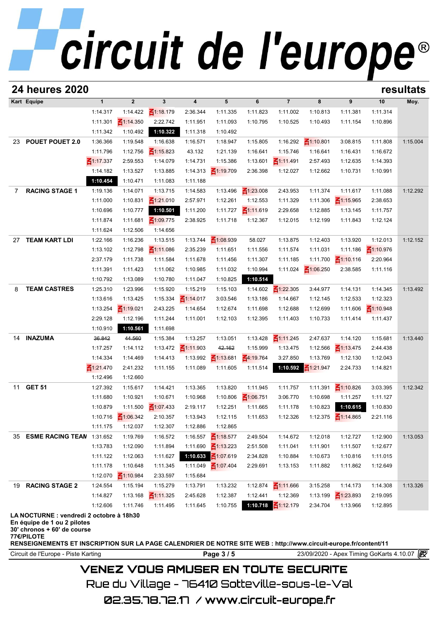|    | <b>24 heures 2020</b>                                                                                                                                                                                                                    |                 |                         |                 |                  |                 |                 |                 |                 |                 |                 | resultats |
|----|------------------------------------------------------------------------------------------------------------------------------------------------------------------------------------------------------------------------------------------|-----------------|-------------------------|-----------------|------------------|-----------------|-----------------|-----------------|-----------------|-----------------|-----------------|-----------|
|    | Kart Equipe                                                                                                                                                                                                                              | $\mathbf{1}$    | $\overline{\mathbf{2}}$ | 3               | $\boldsymbol{4}$ | 5               | 6               | $\overline{7}$  | 8               | 9               | 10              | Moy.      |
|    |                                                                                                                                                                                                                                          | 1:14.317        | 1:14.422                | $\leq 1:18.179$ | 2:36.344         | 1:11.335        | 1:11.823        | 1:11.002        | 1:10.813        | 1:11.381        | 1:11.314        |           |
|    |                                                                                                                                                                                                                                          | 1:11.301        | $\leq 1:14.350$         | 2:22.742        | 1:11.951         | 1:11.093        | 1:10.795        | 1:10.525        | 1:10.493        | 1:11.154        | 1:10.896        |           |
|    |                                                                                                                                                                                                                                          | 1:11.342        | 1:10.492                | 1:10.322        | 1:11.318         | 1:10.492        |                 |                 |                 |                 |                 |           |
| 23 | <b>POUET POUET 2.0</b>                                                                                                                                                                                                                   | 1:36.366        | 1:19.548                | 1:16.638        | 1:16.571         | 1:18.947        | 1:15.805        | 1:16.292        | $\leq 1:10.801$ | 3:08.815        | 1:11.808        | 1:15.004  |
|    |                                                                                                                                                                                                                                          | 1:11.796        | 1:12.756                | $\leq 1:15.823$ | 43.132           | 1:21.139        | 1:16.641        | 1:15.746        | 1:16.641        | 1:16.431        | 1:16.672        |           |
|    |                                                                                                                                                                                                                                          | $\leq 1:17.337$ | 2:59.553                | 1:14.079        | 1:14.731         | 1:15.386        | 1:13.601        | $\leq 1:11.491$ | 2:57.493        | 1:12.635        | 1:14.393        |           |
|    |                                                                                                                                                                                                                                          | 1:14.182        | 1:13.527                | 1:13.885        | 1:14.313         | $\leq 1:19.709$ | 2:36.398        | 1:12.027        | 1:12.662        | 1:10.731        | 1:10.991        |           |
|    |                                                                                                                                                                                                                                          | 1:10.454        | 1:10.471                | 1:11.083        | 1:11.188         |                 |                 |                 |                 |                 |                 |           |
| 7  | <b>RACING STAGE 1</b>                                                                                                                                                                                                                    | 1:19.136        | 1:14.071                | 1:13.715        | 1:14.583         | 1:13.496        | $\leq 1:23.008$ | 2:43.953        | 1:11.374        | 1:11.617        | 1:11.088        | 1:12.292  |
|    |                                                                                                                                                                                                                                          | 1:11.000        | 1:10.831                | $\leq 1:21.010$ | 2:57.971         | 1:12.261        | 1:12.553        | 1:11.329        | 1:11.306        | $\leq 1:15.965$ | 2:38.653        |           |
|    |                                                                                                                                                                                                                                          | 1:10.696        | 1:10.777                | 1:10.501        | 1:11.200         | 1:11.727        | 51:11.619       | 2:29.658        | 1:12.885        | 1:13.145        | 1:11.757        |           |
|    |                                                                                                                                                                                                                                          | 1:11.874        | 1:11.681                | 1:09.775        | 2:38.925         | 1:11.718        | 1:12.367        | 1:12.015        | 1:12.199        | 1:11.843        | 1:12.124        |           |
|    |                                                                                                                                                                                                                                          | 1:11.624        | 1:12.506                | 1:14.656        |                  |                 |                 |                 |                 |                 |                 |           |
| 27 | <b>TEAM KART LDI</b>                                                                                                                                                                                                                     | 1:22.166        | 1:16.236                | 1:13.515        | 1:13.744         | $\leq 1:08.939$ | 58.027          | 1:13.875        | 1:12.403        | 1:13.920        | 1:12.013        | 1:12.152  |
|    |                                                                                                                                                                                                                                          | 1:13.102        | 1:12.798                | $\leq 1:11.086$ | 2:35.239         | 1:11.651        | 1:11.556        | 1:11.574        | 1:11.031        | 1:11.186        | $\leq 1:10.976$ |           |
|    |                                                                                                                                                                                                                                          | 2:37.179        | 1:11.738                | 1:11.584        | 1:11.678         | 1:11.456        | 1:11.307        | 1:11.185        | 1:11.700        | $\leq 1:10.116$ | 2:20.964        |           |
|    |                                                                                                                                                                                                                                          | 1:11.391        | 1:11.423                | 1:11.062        | 1:10.985         | 1:11.032        | 1:10.994        | 1:11.024        | $\leq 1:06.250$ | 2:38.585        | 1:11.116        |           |
|    |                                                                                                                                                                                                                                          | 1:10.792        | 1:13.089                | 1:10.780        | 1:11.047         | 1:10.825        | 1:10.514        |                 |                 |                 |                 |           |
| 8  | <b>TEAM CASTRES</b>                                                                                                                                                                                                                      | 1:25.310        | 1:23.996                | 1:15.920        | 1:15.219         | 1:15.103        | 1:14.602        | $\leq 1:22.305$ | 3:44.977        | 1:14.131        | 1:14.345        | 1:13.492  |
|    |                                                                                                                                                                                                                                          | 1:13.616        | 1:13.425                | 1:15.334        | $\leq$ 1:14.017  | 3:03.546        | 1:13.186        | 1:14.667        | 1:12.145        | 1:12.533        | 1:12.323        |           |
|    |                                                                                                                                                                                                                                          | 1:13.254        | $\leq 1:19.021$         | 2:43.225        | 1:14.654         | 1:12.674        | 1:11.698        | 1:12.688        | 1:12.699        | 1:11.606        | $\leq 1:10.948$ |           |
|    |                                                                                                                                                                                                                                          | 2:29.128        | 1:12.196                | 1:11.244        | 1:11.001         | 1:12.103        | 1:12.395        | 1:11.403        | 1:10.733        | 1:11.414        | 1:11.437        |           |
|    |                                                                                                                                                                                                                                          | 1:10.910        | 1:10.561                | 1:11.698        |                  |                 |                 |                 |                 |                 |                 |           |
| 14 | <b>INAZUMA</b>                                                                                                                                                                                                                           | 36.842          | 44.560                  | 1:15.384        | 1:13.257         | 1:13.051        | 1:13.428        | $\leq 1:11.245$ | 2:47.637        | 1:14.120        | 1:15.681        | 1:13.440  |
|    |                                                                                                                                                                                                                                          | 1:17.257        | 1:14.112                | 1:13.472        | $\leq 1:11.903$  | 42.162          | 1:15.999        | 1:13.475        | 1:12.566        | $\leq 1:13.475$ | 2:44.438        |           |
|    |                                                                                                                                                                                                                                          | 1:14.334        | 1:14.469                | 1:14.413        | 1:13.992         | $\leq 1:13.681$ | $\leq 4:19.764$ | 3:27.850        | 1:13.769        | 1:12.130        | 1:12.043        |           |
|    |                                                                                                                                                                                                                                          | $\leq 1:21.470$ | 2:41.232                | 1:11.155        | 1:11.089         | 1:11.605        | 1:11.514        | 1:10.592        | $-1:21.947$     | 2:24.733        | 1:14.821        |           |
|    |                                                                                                                                                                                                                                          | 1:12.496        | 1:12.660                |                 |                  |                 |                 |                 |                 |                 |                 |           |
| 11 | <b>GET 51</b>                                                                                                                                                                                                                            | 1:27.392        | 1:15.617                | 1:14.421        | 1:13.365         | 1:13.820        | 1:11.945        | 1:11.757        | 1:11.391        | $\leq 1:10.826$ | 3:03.395        | 1:12.342  |
|    |                                                                                                                                                                                                                                          | 1:11.680        | 1:10.921                | 1:10.671        | 1:10.968         | 1:10.806        | $\leq 1:06.751$ | 3:06.770        | 1:10.698        | 1:11.257        | 1:11.127        |           |
|    |                                                                                                                                                                                                                                          | 1:10.879        | 1:11.500                | $\leq 1:07.433$ | 2:19.117         | 1:12.251        | 1:11.665        | 1:11.178        | 1:10.823        | 1:10.615        | 1:10.830        |           |
|    |                                                                                                                                                                                                                                          | 1:10.716        | $\leq 1:06.342$         | 2:10.357        | 1:13.943         | 1:12.115        | 1:11.653        | 1:12.326        | 1:12.375        | $\leq 1:14.865$ | 2:21.116        |           |
|    |                                                                                                                                                                                                                                          | 1:11.175        | 1:12.037                | 1:12.307        | 1:12.886         | 1:12.865        |                 |                 |                 |                 |                 |           |
| 35 | <b>ESME RACING TEAN</b>                                                                                                                                                                                                                  | 1:31.652        | 1:19.769                | 1:16.572        | 1:16.557         | $\leq 1:18.577$ | 2:49.504        | 1:14.672        | 1:12.018        | 1:12.727        | 1:12.900        | 1:13.053  |
|    |                                                                                                                                                                                                                                          | 1:13.783        | 1:12.090                | 1:11.894        | 1:11.690         | $\leq 1:13.223$ | 2:51.508        | 1:11.041        | 1:11.901        | 1:11.507        | 1:12.677        |           |
|    |                                                                                                                                                                                                                                          | 1:11.122        | 1:12.063                | 1:11.627        | 1:10.633         | $\leq 1:07.619$ | 2:34.828        | 1:10.884        | 1:10.673        | 1:10.816        | 1:11.015        |           |
|    |                                                                                                                                                                                                                                          | 1:11.178        | 1:10.648                | 1:11.345        | 1:11.049         | $\leq 1:07.404$ | 2:29.691        | 1:13.153        | 1:11.882        | 1:11.862        | 1:12.649        |           |
|    |                                                                                                                                                                                                                                          | 1:12.070        | $\leq 1:10.984$         | 2:33.597        | 1:15.684         |                 |                 |                 |                 |                 |                 |           |
| 19 | <b>RACING STAGE 2</b>                                                                                                                                                                                                                    | 1:24.554        | 1:15.194                | 1:15.279        | 1:13.791         | 1:13.232        | 1:12.874        | $\leq 1:11.666$ | 3:15.258        | 1:14.173        | 1:14.308        | 1:13.326  |
|    |                                                                                                                                                                                                                                          | 1:14.827        | 1:13.168                | $\leq 1:11.325$ | 2:45.628         | 1:12.387        | 1:12.441        | 1:12.369        | 1:13.199        | $\leq 1:23.893$ | 2:19.095        |           |
|    |                                                                                                                                                                                                                                          | 1:12.606        | 1:11.746                | 1:11.495        | 1:11.645         | 1:10.755        | 1:10.718        | ₹1:12.179       | 2:34.704        | 1:13.966        | 1:12.895        |           |
|    | LA NOCTURNE : vendredi 2 octobre à 18h30<br>En équipe de 1 ou 2 pilotes<br>30' chronos + 60' de course<br>77€/PILOTE<br>RENSEIGNEMENTS ET INSCRIPTION SUR LA PAGE CALENDRIER DE NOTRE SITE WEB : http://www.circuit-europe.fr/content/11 |                 |                         |                 |                  |                 |                 |                 |                 |                 |                 |           |

Circuit de l'Europe - Piste Karting **Page 3 / 5 Page 3 / 5** 23/09/2020 - Apex Timing GoKarts 4.10.07 **段** 

## **VENEZ VOUS AMUSER EN TOUTE SECURITE**

Rue du Village – 76410 Sotteville-sous-le-Val

02.35.78.72.17 / www.circuit-europe.fr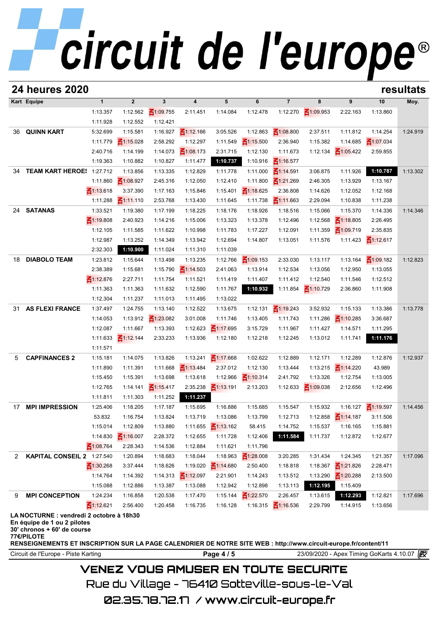|    | <b>24 heures 2020</b>                                                                                                |                 |                         |                 |                  |                 |                 |                 |                 |                 |                 | resultats |
|----|----------------------------------------------------------------------------------------------------------------------|-----------------|-------------------------|-----------------|------------------|-----------------|-----------------|-----------------|-----------------|-----------------|-----------------|-----------|
|    | Kart Equipe                                                                                                          | $\mathbf{1}$    | $\overline{\mathbf{2}}$ | 3               | $\boldsymbol{4}$ | 5               | 6               | $\overline{7}$  | 8               | 9               | 10              | Moy.      |
|    |                                                                                                                      | 1:13.357        | 1:12.562                | $\leq 1:09.755$ | 2:11.451         | 1:14.084        | 1:12.478        | 1:12.270        | ₹1:09.953       | 2:22.163        | 1:13.860        |           |
|    |                                                                                                                      | 1:11.928        | 1:12.552                | 1:12.421        |                  |                 |                 |                 |                 |                 |                 |           |
| 36 | <b>QUINN KART</b>                                                                                                    | 5:32.699        | 1:15.581                | 1:16.927        | $\leq 1:12.166$  | 3:05.526        | 1:12.863        | $\leq 1:08.800$ | 2:37.511        | 1:11.812        | 1:14.254        | 1:24.919  |
|    |                                                                                                                      | 1:11.779        | $\leq 1:15.028$         | 2:58.292        | 1:12.297         | 1:11.549        | $\leq 1:15.500$ | 2:36.940        | 1:15.382        | 1:14.685        | $\leq 1:07.034$ |           |
|    |                                                                                                                      | 2:40.716        | 1:14.199                | 1:14.073        | $\leq 1:08.173$  | 2:31.715        | 1:12.130        | 1:11.673        | 1:12.134        | $\leq 1:05.422$ | 2:59.855        |           |
|    |                                                                                                                      | 1:19.363        | 1:10.882                | 1:10.827        | 1:11.477         | 1:10.737        | 1:10.916        | $\leq 1:16.577$ |                 |                 |                 |           |
| 34 | <b>TEAM KART HEROE!</b>                                                                                              | 1:27.712        | 1:13.856                | 1:13.335        | 1:12.829         | 1:11.778        | 1:11.000        | $\leq$ 1:14.591 | 3:06.875        | 1:11.926        | 1:10.787        | 1:13.302  |
|    |                                                                                                                      | 1:11.860        | $\leq 1:08.927$         | 2:45.316        | 1:12.050         | 1:12.410        | 1:11.800        | $\leq 1:21.269$ | 2:46.305        | 1:13.929        | 1:13.167        |           |
|    |                                                                                                                      | $\leq 1:13.618$ | 3:37.390                | 1:17.163        | 1:15.846         | 1:15.401        | $\leq 1:18.625$ | 2:36.808        | 1:14.626        | 1:12.052        | 1:12.168        |           |
|    |                                                                                                                      | 1:11.288        | $\leq 1:11.110$         | 2:53.768        | 1:13.430         | 1:11.645        | 1:11.738        | $\leq 1:11.663$ | 2:29.094        | 1:10.838        | 1:11.238        |           |
| 24 | <b>SATANAS</b>                                                                                                       | 1:33.521        | 1:19.380                | 1:17.199        | 1:18.225         | 1:18.176        | 1:18.926        | 1:18.516        | 1:15.066        | 1:15.370        | 1:14.336        | 1:14.346  |
|    |                                                                                                                      | $\leq 1:19.808$ | 2:40.923                | 1:14.216        | 1:15.006         | 1:13.323        | 1:13.378        | 1:12.496        | 1:12.568        | $\leq 1:18.805$ | 2:26.495        |           |
|    |                                                                                                                      | 1:12.105        | 1:11.585                | 1:11.622        | 1:10.998         | 1:11.783        | 1:17.227        | 1:12.091        | 1:11.359        | $\leq 1:09.719$ | 2:35.835        |           |
|    |                                                                                                                      | 1:12.987        | 1:13.252                | 1:14.349        | 1:13.942         | 1:12.694        | 1:14.807        | 1:13.051        | 1:11.576        | 1:11.423        | $\leq 1:12.617$ |           |
|    |                                                                                                                      | 2:32.303        | 1:10.900                | 1:11.024        | 1:11.310         | 1:11.039        |                 |                 |                 |                 |                 |           |
| 18 | <b>DIABOLO TEAM</b>                                                                                                  | 1:23.812        | 1:15.644                | 1:13.498        | 1:13.235         | 1:12.766        | $\leq 1:09.153$ | 2:33.030        | 1:13.117        | 1:13.164        | $\leq 1:09.182$ | 1:12.823  |
|    |                                                                                                                      | 2:38.389        | 1:15.681                | 1:15.790        | $\leq 1:14.503$  | 2:41.063        | 1:13.914        | 1:12.534        | 1:13.056        | 1:12.950        | 1:13.055        |           |
|    |                                                                                                                      | $\leq 1:12.876$ | 2:27.711                | 1:11.754        | 1:11.521         | 1:11.419        | 1:11.407        | 1:11.412        | 1:12.540        | 1:11.546        | 1:12.512        |           |
|    |                                                                                                                      | 1:11.363        | 1:11.363                | 1:11.632        | 1:12.590         | 1:11.767        | 1:10.932        | 1:11.854        | $\leq 1:10.729$ | 2:36.860        | 1:11.908        |           |
|    |                                                                                                                      | 1:12.304        | 1:11.237                | 1:11.013        | 1:11.495         | 1:13.022        |                 |                 |                 |                 |                 |           |
| 31 | <b>AS FLEXI FRANCE</b>                                                                                               | 1:37.497        | 1:24.755                | 1:13.140        | 1:12.522         | 1:13.675        | 1:12.131        | $\leq 1:19.243$ | 3:52.932        | 1:15.133        | 1:13.386        | 1:13.778  |
|    |                                                                                                                      | 1:14.053        | 1:13.912                | $\leq 1:23.082$ | 3:01.008         | 1:11.746        | 1:13.405        | 1:11.743        | 1:11.286        | $\leq 1:10.285$ | 3:36.687        |           |
|    |                                                                                                                      | 1:12.087        | 1:11.667                | 1:13.393        | 1:12.623         | $\leq 1:17.695$ | 3:15.729        | 1:11.967        | 1:11.427        | 1:14.571        | 1:11.295        |           |
|    |                                                                                                                      | 1:11.633        | $\leq 1:12.144$         | 2:33.233        | 1:13.936         | 1:12.180        | 1:12.218        | 1:12.245        | 1:13.012        | 1:11.741        | 1:11.176        |           |
|    |                                                                                                                      | 1:11.571        |                         |                 |                  |                 |                 |                 |                 |                 |                 |           |
| 5  | <b>CAPFINANCES 2</b>                                                                                                 | 1:15.181        | 1:14.075                | 1:13.826        | 1:13.241         | $\leq 1:17.668$ | 1:02.622        | 1:12.889        | 1:12.171        | 1:12.289        | 1:12.876        | 1:12.937  |
|    |                                                                                                                      | 1:11.890        | 1:11.391                | 1:11.668        | $\leq 1:13.484$  | 2:37.012        | 1:12.130        | 1:13.444        | 1:13.215        | $\leq 1:14.220$ | 43.989          |           |
|    |                                                                                                                      | 1:15.450        | 1:15.391                | 1:13.698        | 1:13.618         | 1:12.966        | $\leq 1:10.314$ | 2:41.792        | 1:13.326        | 1:12.754        | 1:13.005        |           |
|    |                                                                                                                      | 1:12.765        | 1:14.141                | $\leq 1:15.417$ | 2:35.238         | $\leq 1:13.191$ | 2:13.203        | 1:12.633        | $\leq 1:09.038$ | 2:12.656        | 1:12.496        |           |
|    |                                                                                                                      | 1:11.811        | 1:11.303                | 1:11.252        | 1:11.237         |                 |                 |                 |                 |                 |                 |           |
| 17 | <b>MPI IMPRESSION</b>                                                                                                | 1:25.406        | 1:18.205                | 1:17.187        | 1:15.695         | 1:16.886        | 1:15.685        | 1:15.547        | 1:15.932        | 1:16.127        | $\leq 1:19.597$ | 1:14.456  |
|    |                                                                                                                      | 53.832          | 1:16.754                | 1:13.824        | 1:13.719         | 1:13.086        | 1:13.799        | 1:12.713        | 1:12.858        | $\leq 1:14.187$ | 3:11.506        |           |
|    |                                                                                                                      | 1:15.014        | 1:12.809                | 1:13.880        | 1:11.655         | $\leq 1:13.162$ | 58.415          | 1:14.752        | 1:15.537        | 1:16.165        | 1:15.881        |           |
|    |                                                                                                                      | 1:14.830        | $\leq 1:16.007$         | 2:28.372        | 1:12.655         | 1:11.728        | 1:12.406        | 1:11.584        | 1:11.737        | 1:12.872        | 1:12.677        |           |
|    |                                                                                                                      | $\leq 1:08.764$ | 2:28.343                | 1:14.536        | 1:12.884         | 1:11.621        | 1:11.796        |                 |                 |                 |                 |           |
|    | 2 KAPITAL CONSEIL 2 1:27.540                                                                                         |                 | 1:20.894                | 1:18.683        | 1:18.044         | 1:18.963        | $\leq 1:28.008$ | 3:20.285        | 1:31.434        | 1:24.345        | 1:21.357        | 1:17.096  |
|    |                                                                                                                      | $\leq 1:30.268$ | 3:37.444                | 1:18.626        | 1:19.020         | $\leq 1:14.680$ | 2:50.400        | 1:18.818        | 1:18.367        | $\leq 1:21.826$ | 2:28.471        |           |
|    |                                                                                                                      | 1:14.764        | 1:14.392                | 1:14.313        | $\leq 1:12.097$  | 2:21.901        | 1:14.243        | 1:13.512        | 1:13.290        | $\leq 1:20.288$ | 2:13.500        |           |
|    |                                                                                                                      | 1:15.088        | 1:12.886                | 1:13.387        | 1:13.088         | 1:12.942        | 1:12.898        | 1:13.113        | 1:12.195        | 1:15.409        |                 |           |
| 9  | <b>MPI CONCEPTION</b>                                                                                                | 1:24.234        | 1:16.858                | 1:20.538        | 1:17.470         | 1:15.144        | $\leq 1:22.570$ | 2:26.457        | 1:13.615        | 1:12.293        | 1:12.821        | 1:17.696  |
|    |                                                                                                                      | $\leq 1:12.621$ | 2:56.400                | 1:20.458        | 1:16.735         | 1:16.128        | 1:16.315        | $\leq 1:16.536$ | 2:29.799        | 1:14.915        | 1:13.656        |           |
|    | LA NOCTURNE : vendredi 2 octobre à 18h30<br>En équipe de 1 ou 2 pilotes<br>30' chronos + 60' de course<br>77€/PILOTE |                 |                         |                 |                  |                 |                 |                 |                 |                 |                 |           |

**RENSEIGNEMENTS ET INSCRIPTION SUR LA PAGE CALENDRIER DE NOTRE SITE WEB : http://www.circuit-europe.fr/content/11**

Circuit de l'Europe - Piste Karting **Page 4 / 5 Page 4 / 5** 23/09/2020 - Apex Timing GoKarts 4.10.07 **段** 

# **VENEZ VOUS AMUSER EN TOUTE SECURITE**

Rue du Village – 76410 Sotteville-sous-le-Val

02.35.78.72.17 / www.circuit-europe.fr